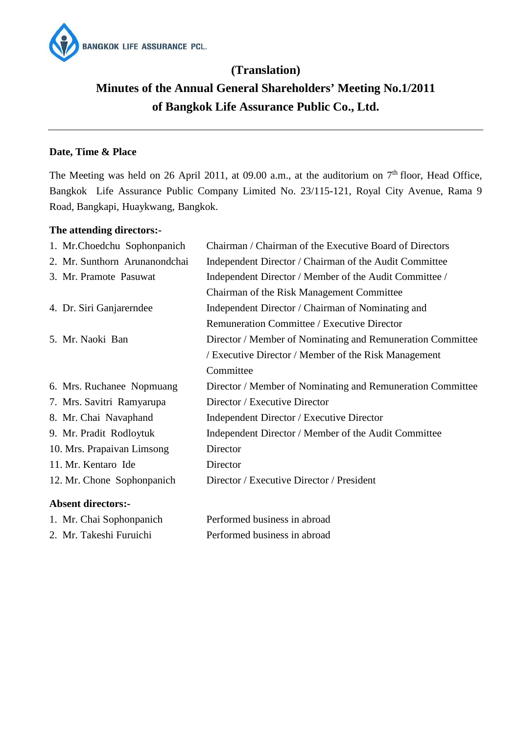

# **(Translation) Minutes of the Annual General Shareholders' Meeting No.1/2011 of Bangkok Life Assurance Public Co., Ltd.**

# **Date, Time & Place**

The Meeting was held on 26 April 2011, at 09.00 a.m., at the auditorium on  $7<sup>th</sup>$  floor, Head Office, Bangkok Life Assurance Public Company Limited No. 23/115-121, Royal City Avenue, Rama 9 Road, Bangkapi, Huaykwang, Bangkok.

## **The attending directors:-**

1. Mr. Chai Sophonpanich 2. Mr. Takeshi Furuichi

| 1. Mr.Choedchu Sophonpanich   | Chairman / Chairman of the Executive Board of Directors    |
|-------------------------------|------------------------------------------------------------|
| 2. Mr. Sunthorn Arunanondchai | Independent Director / Chairman of the Audit Committee     |
| 3. Mr. Pramote Pasuwat        | Independent Director / Member of the Audit Committee /     |
|                               | Chairman of the Risk Management Committee                  |
| 4. Dr. Siri Ganjarerndee      | Independent Director / Chairman of Nominating and          |
|                               | Remuneration Committee / Executive Director                |
| 5. Mr. Naoki Ban              | Director / Member of Nominating and Remuneration Committee |
|                               | / Executive Director / Member of the Risk Management       |
|                               | Committee                                                  |
| 6. Mrs. Ruchanee Nopmuang     | Director / Member of Nominating and Remuneration Committee |
| 7. Mrs. Savitri Ramyarupa     | Director / Executive Director                              |
| 8. Mr. Chai Navaphand         | Independent Director / Executive Director                  |
| 9. Mr. Pradit Rodloytuk       | Independent Director / Member of the Audit Committee       |
| 10. Mrs. Prapaivan Limsong    | Director                                                   |
| 11. Mr. Kentaro Ide           | Director                                                   |
| 12. Mr. Chone Sophonpanich    | Director / Executive Director / President                  |
| <b>Absent directors:-</b>     |                                                            |

| Performed business in abroad |  |  |
|------------------------------|--|--|
| Performed business in abroad |  |  |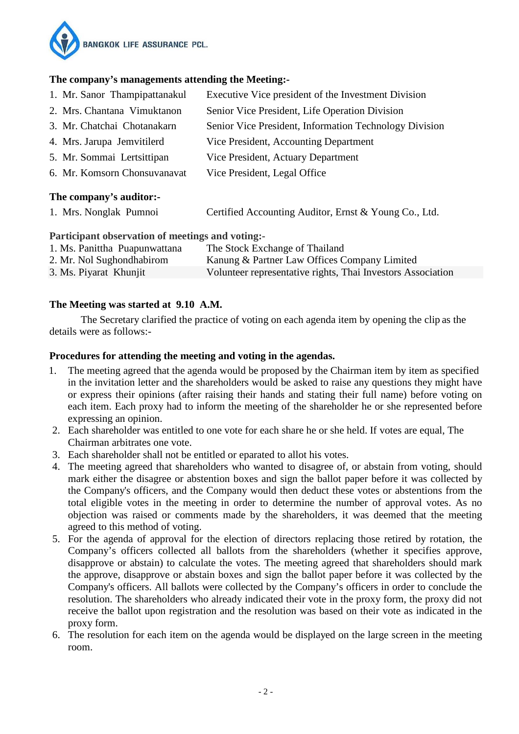

## **The company's managements attending the Meeting:-**

- 1. Mr. Sanor Thampipattanakul Executive Vice president of the Investment Division
- 2. Mrs. Chantana Vimuktanon Senior Vice President, Life Operation Division
- 3. Mr. Chatchai Chotanakarn Senior Vice President, Information Technology Division
- 4. Mrs. Jarupa Jemvitilerd Vice President, Accounting Department
- 5. Mr. Sommai Lertsittipan Vice President, Actuary Department
- 6. Mr. Komsorn Chonsuvanavat Vice President, Legal Office

## **The company's auditor:-**

1. Mrs. Nonglak Pumnoi Certified Accounting Auditor, Ernst & Young Co., Ltd.

## **Participant observation of meetings and voting:-**

| 1. Ms. Panittha Puapunwattana | The Stock Exchange of Thailand                              |
|-------------------------------|-------------------------------------------------------------|
| 2. Mr. Nol Sughondhabirom     | Kanung & Partner Law Offices Company Limited                |
| 3. Ms. Piyarat Khunjit        | Volunteer representative rights, Thai Investors Association |

# **The Meeting was started at 9.10 A.M.**

The Secretary clarified the practice of voting on each agenda item by opening the clip as the details were as follows:-

# **Procedures for attending the meeting and voting in the agendas.**

- 1. The meeting agreed that the agenda would be proposed by the Chairman item by item as specified in the invitation letter and the shareholders would be asked to raise any questions they might have or express their opinions (after raising their hands and stating their full name) before voting on each item. Each proxy had to inform the meeting of the shareholder he or she represented before expressing an opinion.
- 2. Each shareholder was entitled to one vote for each share he or she held. If votes are equal, The Chairman arbitrates one vote.
- 3. Each shareholder shall not be entitled or eparated to allot his votes.
- 4. The meeting agreed that shareholders who wanted to disagree of, or abstain from voting, should mark either the disagree or abstention boxes and sign the ballot paper before it was collected by the Company's officers, and the Company would then deduct these votes or abstentions from the total eligible votes in the meeting in order to determine the number of approval votes. As no objection was raised or comments made by the shareholders, it was deemed that the meeting agreed to this method of voting.
- 5. For the agenda of approval for the election of directors replacing those retired by rotation, the Company's officers collected all ballots from the shareholders (whether it specifies approve, disapprove or abstain) to calculate the votes. The meeting agreed that shareholders should mark the approve, disapprove or abstain boxes and sign the ballot paper before it was collected by the Company's officers. All ballots were collected by the Company's officers in order to conclude the resolution. The shareholders who already indicated their vote in the proxy form, the proxy did not receive the ballot upon registration and the resolution was based on their vote as indicated in the proxy form.
- 6. The resolution for each item on the agenda would be displayed on the large screen in the meeting room.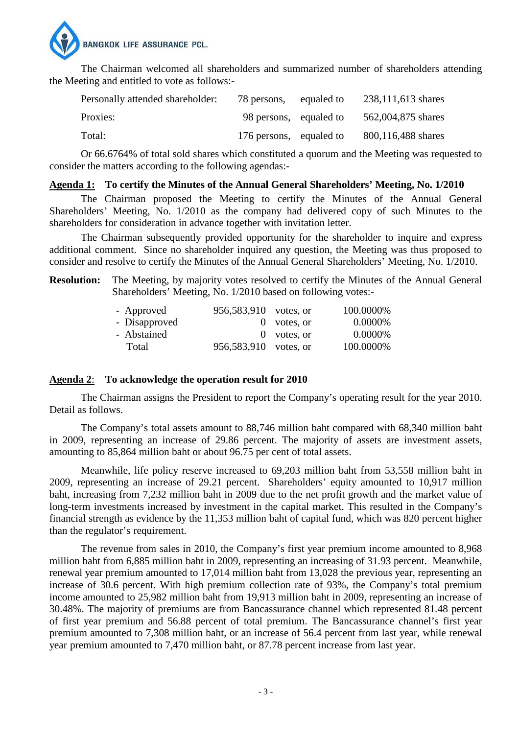

The Chairman welcomed all shareholders and summarized number of shareholders attending the Meeting and entitled to vote as follows:-

| Personally attended shareholder: | 78 persons,             | equaled to | 238,111,613 shares |
|----------------------------------|-------------------------|------------|--------------------|
| Proxies:                         | 98 persons, equaled to  |            | 562,004,875 shares |
| Total:                           | 176 persons, equaled to |            | 800,116,488 shares |

Or 66.6764% of total sold shares which constituted a quorum and the Meeting was requested to consider the matters according to the following agendas:-

#### **Agenda 1: To certify the Minutes of the Annual General Shareholders' Meeting, No. 1/2010**

The Chairman proposed the Meeting to certify the Minutes of the Annual General Shareholders' Meeting, No. 1/2010 as the company had delivered copy of such Minutes to the shareholders for consideration in advance together with invitation letter.

The Chairman subsequently provided opportunity for the shareholder to inquire and express additional comment. Since no shareholder inquired any question, the Meeting was thus proposed to consider and resolve to certify the Minutes of the Annual General Shareholders' Meeting, No. 1/2010.

**Resolution:** The Meeting, by majority votes resolved to certify the Minutes of the Annual General Shareholders' Meeting, No. 1/2010 based on following votes:-

| - Approved    | 956,583,910 votes, or   |               | 100.0000% |
|---------------|-------------------------|---------------|-----------|
| - Disapproved |                         | $0$ votes, or | 0.0000\%  |
| - Abstained   |                         | $0$ votes, or | 0.0000\%  |
| Total         | 956, 583, 910 votes, or |               | 100.0000% |

## **Agenda 2**: **To acknowledge the operation result for 2010**

The Chairman assigns the President to report the Company's operating result for the year 2010. Detail as follows.

The Company's total assets amount to 88,746 million baht compared with 68,340 million baht in 2009, representing an increase of 29.86 percent. The majority of assets are investment assets, amounting to 85,864 million baht or about 96.75 per cent of total assets.

Meanwhile, life policy reserve increased to 69,203 million baht from 53,558 million baht in 2009, representing an increase of 29.21 percent. Shareholders' equity amounted to 10,917 million baht, increasing from 7,232 million baht in 2009 due to the net profit growth and the market value of long-term investments increased by investment in the capital market. This resulted in the Company's financial strength as evidence by the 11,353 million baht of capital fund, which was 820 percent higher than the regulator's requirement.

The revenue from sales in 2010, the Company's first year premium income amounted to 8,968 million baht from 6,885 million baht in 2009, representing an increasing of 31.93 percent. Meanwhile, renewal year premium amounted to 17,014 million baht from 13,028 the previous year, representing an increase of 30.6 percent. With high premium collection rate of 93%, the Company's total premium income amounted to 25,982 million baht from 19,913 million baht in 2009, representing an increase of 30.48%. The majority of premiums are from Bancassurance channel which represented 81.48 percent of first year premium and 56.88 percent of total premium. The Bancassurance channel's first year premium amounted to 7,308 million baht, or an increase of 56.4 percent from last year, while renewal year premium amounted to 7,470 million baht, or 87.78 percent increase from last year.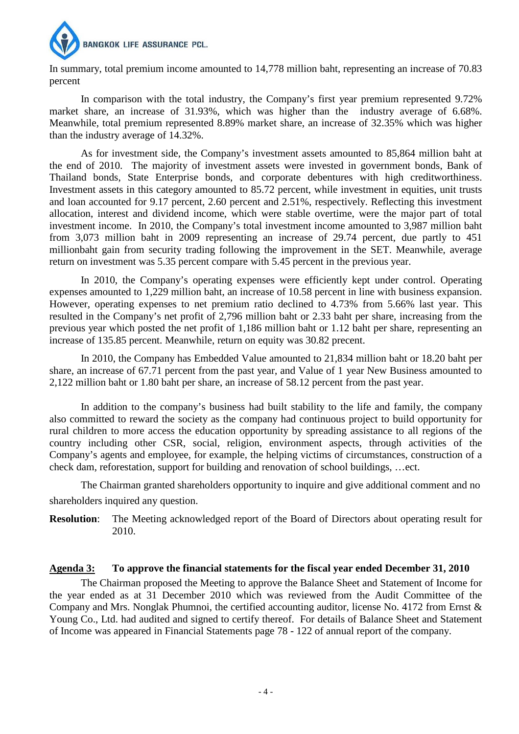

In summary, total premium income amounted to 14,778 million baht, representing an increase of 70.83 percent

In comparison with the total industry, the Company's first year premium represented 9.72% market share, an increase of 31.93%, which was higher than the industry average of 6.68%. Meanwhile, total premium represented 8.89% market share, an increase of 32.35% which was higher than the industry average of 14.32%.

As for investment side, the Company's investment assets amounted to 85,864 million baht at the end of 2010. The majority of investment assets were invested in government bonds, Bank of Thailand bonds, State Enterprise bonds, and corporate debentures with high creditworthiness. Investment assets in this category amounted to 85.72 percent, while investment in equities, unit trusts and loan accounted for 9.17 percent, 2.60 percent and 2.51%, respectively. Reflecting this investment allocation, interest and dividend income, which were stable overtime, were the major part of total investment income. In 2010, the Company's total investment income amounted to 3,987 million baht from 3,073 million baht in 2009 representing an increase of 29.74 percent, due partly to 451 millionbaht gain from security trading following the improvement in the SET. Meanwhile, average return on investment was 5.35 percent compare with 5.45 percent in the previous year.

In 2010, the Company's operating expenses were efficiently kept under control. Operating expenses amounted to 1,229 million baht, an increase of 10.58 percent in line with business expansion. However, operating expenses to net premium ratio declined to 4.73% from 5.66% last year. This resulted in the Company's net profit of 2,796 million baht or 2.33 baht per share, increasing from the previous year which posted the net profit of 1,186 million baht or 1.12 baht per share, representing an increase of 135.85 percent. Meanwhile, return on equity was 30.82 precent.

In 2010, the Company has Embedded Value amounted to 21,834 million baht or 18.20 baht per share, an increase of 67.71 percent from the past year, and Value of 1 year New Business amounted to 2,122 million baht or 1.80 baht per share, an increase of 58.12 percent from the past year.

In addition to the company's business had built stability to the life and family, the company also committed to reward the society as the company had continuous project to build opportunity for rural children to more access the education opportunity by spreading assistance to all regions of the country including other CSR, social, religion, environment aspects, through activities of the Company's agents and employee, for example, the helping victims of circumstances, construction of a check dam, reforestation, support for building and renovation of school buildings, …ect.

The Chairman granted shareholders opportunity to inquire and give additional comment and no shareholders inquired any question.

**Resolution**: The Meeting acknowledged report of the Board of Directors about operating result for 2010.

## **Agenda 3: To approve the financial statements for the fiscal year ended December 31, 2010**

The Chairman proposed the Meeting to approve the Balance Sheet and Statement of Income for the year ended as at 31 December 2010 which was reviewed from the Audit Committee of the Company and Mrs. Nonglak Phumnoi, the certified accounting auditor, license No. 4172 from Ernst & Young Co., Ltd. had audited and signed to certify thereof. For details of Balance Sheet and Statement of Income was appeared in Financial Statements page 78 - 122 of annual report of the company.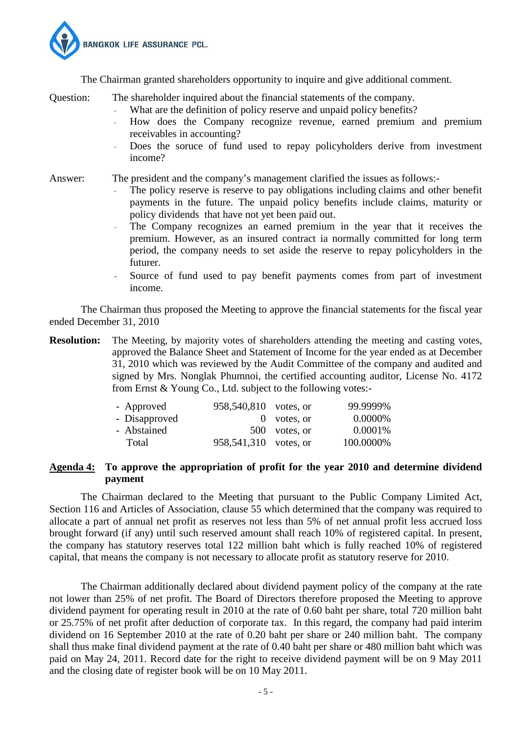

The Chairman granted shareholders opportunity to inquire and give additional comment.

Question: The shareholder inquired about the financial statements of the company.

- What are the definition of policy reserve and unpaid policy benefits?
- How does the Company recognize revenue, earned premium and premium receivables in accounting?
- Does the soruce of fund used to repay policyholders derive from investment income?

Answer: The president and the company's management clarified the issues as follows:-

- The policy reserve is reserve to pay obligations including claims and other benefit payments in the future. The unpaid policy benefits include claims, maturity or policy dividends that have not yet been paid out.
- The Company recognizes an earned premium in the year that it receives the premium. However, as an insured contract ia normally committed for long term period, the company needs to set aside the reserve to repay policyholders in the futurer.
- Source of fund used to pay benefit payments comes from part of investment income.

The Chairman thus proposed the Meeting to approve the financial statements for the fiscal year ended December 31, 2010

**Resolution:** The Meeting, by majority votes of shareholders attending the meeting and casting votes, approved the Balance Sheet and Statement of Income for the year ended as at December 31, 2010 which was reviewed by the Audit Committee of the company and audited and signed by Mrs. Nonglak Phumnoi, the certified accounting auditor, License No. 4172 from Ernst & Young Co., Ltd. subject to the following votes:-

|  | 99.9999%                                                                         |
|--|----------------------------------------------------------------------------------|
|  | 0.0000\%                                                                         |
|  | 0.0001\%                                                                         |
|  | 100.0000%                                                                        |
|  | 958,540,810 votes, or<br>$0$ votes, or<br>500 votes, or<br>958,541,310 votes, or |

## **Agenda 4: To approve the appropriation of profit for the year 2010 and determine dividend payment**

 The Chairman declared to the Meeting that pursuant to the Public Company Limited Act, Section 116 and Articles of Association, clause 55 which determined that the company was required to allocate a part of annual net profit as reserves not less than 5% of net annual profit less accrued loss brought forward (if any) until such reserved amount shall reach 10% of registered capital. In present, the company has statutory reserves total 122 million baht which is fully reached 10% of registered capital, that means the company is not necessary to allocate profit as statutory reserve for 2010.

 The Chairman additionally declared about dividend payment policy of the company at the rate not lower than 25% of net profit. The Board of Directors therefore proposed the Meeting to approve dividend payment for operating result in 2010 at the rate of 0.60 baht per share, total 720 million baht or 25.75% of net profit after deduction of corporate tax. In this regard, the company had paid interim dividend on 16 September 2010 at the rate of 0.20 baht per share or 240 million baht. The company shall thus make final dividend payment at the rate of 0.40 baht per share or 480 million baht which was paid on May 24, 2011. Record date for the right to receive dividend payment will be on 9 May 2011 and the closing date of register book will be on 10 May 2011.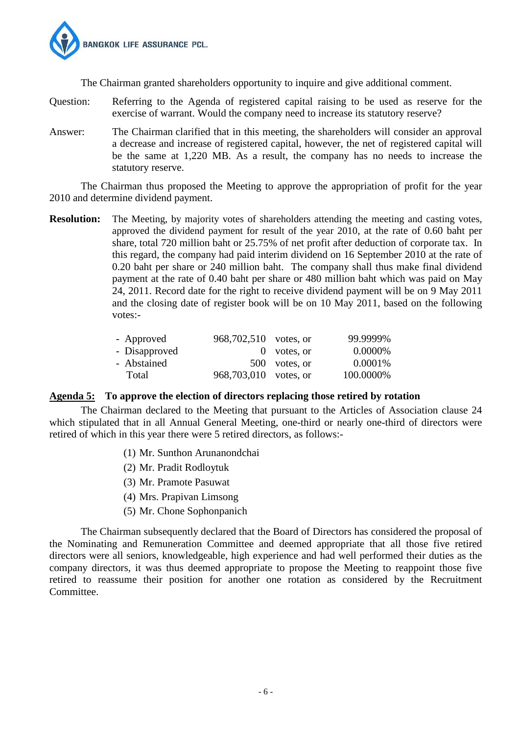

The Chairman granted shareholders opportunity to inquire and give additional comment.

- Question: Referring to the Agenda of registered capital raising to be used as reserve for the exercise of warrant. Would the company need to increase its statutory reserve?
- Answer: The Chairman clarified that in this meeting, the shareholders will consider an approval a decrease and increase of registered capital, however, the net of registered capital will be the same at 1,220 MB. As a result, the company has no needs to increase the statutory reserve.

The Chairman thus proposed the Meeting to approve the appropriation of profit for the year 2010 and determine dividend payment.

**Resolution:** The Meeting, by majority votes of shareholders attending the meeting and casting votes, approved the dividend payment for result of the year 2010, at the rate of 0.60 baht per share, total 720 million baht or 25.75% of net profit after deduction of corporate tax. In this regard, the company had paid interim dividend on 16 September 2010 at the rate of 0.20 baht per share or 240 million baht. The company shall thus make final dividend payment at the rate of 0.40 baht per share or 480 million baht which was paid on May 24, 2011. Record date for the right to receive dividend payment will be on 9 May 2011 and the closing date of register book will be on 10 May 2011, based on the following votes:-

| - Approved    | 968,702,510 votes, or |               | 99.9999%   |
|---------------|-----------------------|---------------|------------|
| - Disapproved |                       | $0$ votes, or | 0.0000%    |
| - Abstained   |                       | 500 votes, or | $0.0001\%$ |
| Total         | 968,703,010 votes, or |               | 100.0000%  |

## **Agenda 5: To approve the election of directors replacing those retired by rotation**

The Chairman declared to the Meeting that pursuant to the Articles of Association clause 24 which stipulated that in all Annual General Meeting, one-third or nearly one-third of directors were retired of which in this year there were 5 retired directors, as follows:-

- (1) Mr. Sunthon Arunanondchai
- (2) Mr. Pradit Rodloytuk
- (3) Mr. Pramote Pasuwat
- (4) Mrs. Prapivan Limsong
- (5) Mr. Chone Sophonpanich

The Chairman subsequently declared that the Board of Directors has considered the proposal of the Nominating and Remuneration Committee and deemed appropriate that all those five retired directors were all seniors, knowledgeable, high experience and had well performed their duties as the company directors, it was thus deemed appropriate to propose the Meeting to reappoint those five retired to reassume their position for another one rotation as considered by the Recruitment Committee.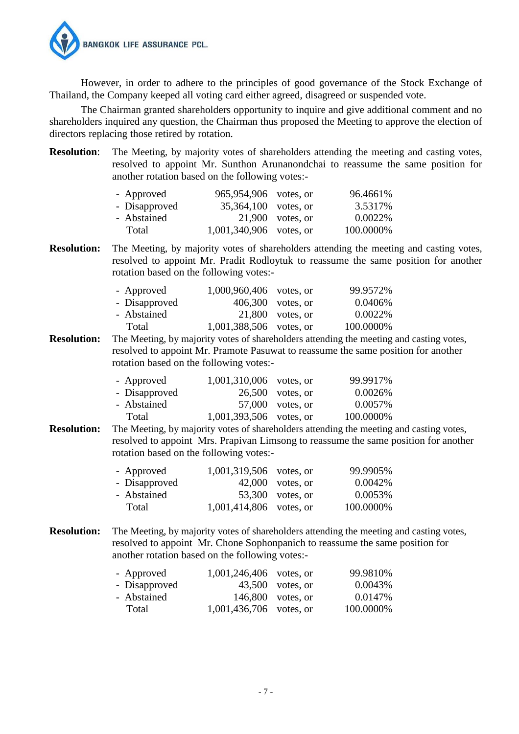

However, in order to adhere to the principles of good governance of the Stock Exchange of Thailand, the Company keeped all voting card either agreed, disagreed or suspended vote.

The Chairman granted shareholders opportunity to inquire and give additional comment and no shareholders inquired any question, the Chairman thus proposed the Meeting to approve the election of directors replacing those retired by rotation.

| <b>Resolution:</b>                                                                                                                                                                                                                                                                          | The Meeting, by majority votes of shareholders attending the meeting and casting votes,<br>resolved to appoint Mr. Sunthon Arunanondchai to reassume the same position for<br>another rotation based on the following votes:- |                                                      |                                                  |                                                                                                                                                                               |  |
|---------------------------------------------------------------------------------------------------------------------------------------------------------------------------------------------------------------------------------------------------------------------------------------------|-------------------------------------------------------------------------------------------------------------------------------------------------------------------------------------------------------------------------------|------------------------------------------------------|--------------------------------------------------|-------------------------------------------------------------------------------------------------------------------------------------------------------------------------------|--|
|                                                                                                                                                                                                                                                                                             | - Approved<br>- Disapproved<br>- Abstained<br>Total                                                                                                                                                                           | 965,954,906<br>35,364,100<br>21,900<br>1,001,340,906 | votes, or<br>votes, or<br>votes, or<br>votes, or | 96.4661%<br>3.5317%<br>0.0022%<br>100.0000%                                                                                                                                   |  |
| <b>Resolution:</b>                                                                                                                                                                                                                                                                          | rotation based on the following votes:-                                                                                                                                                                                       |                                                      |                                                  | The Meeting, by majority votes of shareholders attending the meeting and casting votes,<br>resolved to appoint Mr. Pradit Rodloytuk to reassume the same position for another |  |
|                                                                                                                                                                                                                                                                                             | - Approved<br>- Disapproved<br>- Abstained<br>Total                                                                                                                                                                           | 1,000,960,406<br>406,300<br>21,800<br>1,001,388,506  | votes, or<br>votes, or<br>votes, or<br>votes, or | 99.9572%<br>0.0406%<br>0.0022%<br>100.0000%                                                                                                                                   |  |
| <b>Resolution:</b>                                                                                                                                                                                                                                                                          | rotation based on the following votes:-                                                                                                                                                                                       |                                                      |                                                  | The Meeting, by majority votes of shareholders attending the meeting and casting votes,<br>resolved to appoint Mr. Pramote Pasuwat to reassume the same position for another  |  |
|                                                                                                                                                                                                                                                                                             | - Approved<br>- Disapproved<br>- Abstained<br>Total                                                                                                                                                                           | 1,001,310,006<br>26,500<br>57,000<br>1,001,393,506   | votes, or<br>votes, or<br>votes, or<br>votes, or | 99.9917%<br>0.0026%<br>0.0057%<br>100.0000%                                                                                                                                   |  |
| <b>Resolution:</b><br>The Meeting, by majority votes of shareholders attending the meeting and casting votes,<br>resolved to appoint Mrs. Prapivan Limsong to reassume the same position for another<br>rotation based on the following votes:-<br>1,001,319,506<br>- Approved<br>votes, or |                                                                                                                                                                                                                               |                                                      |                                                  | 99.9905%                                                                                                                                                                      |  |
|                                                                                                                                                                                                                                                                                             | - Disapproved<br>- Abstained<br>Total                                                                                                                                                                                         | 42,000<br>53,300<br>1,001,414,806                    | votes, or<br>votes, or<br>votes, or              | 0.0042%<br>0.0053%<br>100.0000%                                                                                                                                               |  |
| <b>Resolution:</b>                                                                                                                                                                                                                                                                          | another rotation based on the following votes:-                                                                                                                                                                               |                                                      |                                                  | The Meeting, by majority votes of shareholders attending the meeting and casting votes,<br>resolved to appoint Mr. Chone Sophonpanich to reassume the same position for       |  |
|                                                                                                                                                                                                                                                                                             | - Approved<br>- Disapproved<br>- Abstained<br>Total                                                                                                                                                                           | 1,001,246,406<br>43,500<br>146,800<br>1,001,436,706  | votes, or<br>votes, or<br>votes, or<br>votes, or | 99.9810%<br>0.0043%<br>0.0147%<br>100.0000%                                                                                                                                   |  |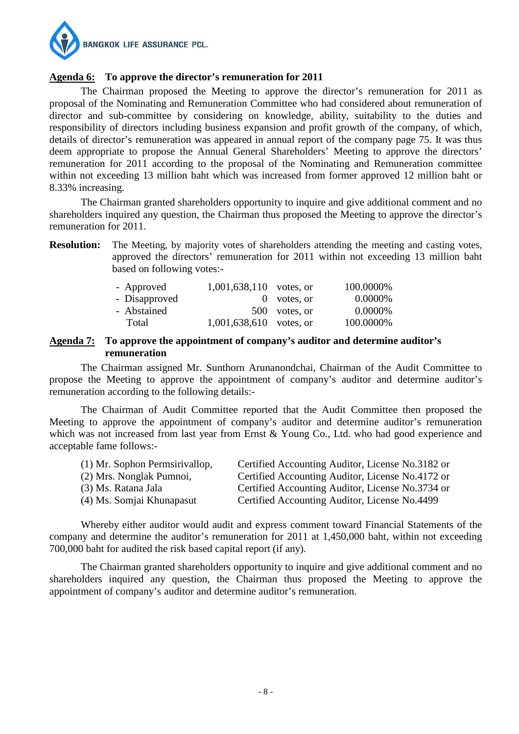

## **Agenda 6: To approve the director's remuneration for 2011**

The Chairman proposed the Meeting to approve the director's remuneration for 2011 as proposal of the Nominating and Remuneration Committee who had considered about remuneration of director and sub-committee by considering on knowledge, ability, suitability to the duties and responsibility of directors including business expansion and profit growth of the company, of which, details of director's remuneration was appeared in annual report of the company page 75. It was thus deem appropriate to propose the Annual General Shareholders' Meeting to approve the directors' remuneration for 2011 according to the proposal of the Nominating and Remuneration committee within not exceeding 13 million baht which was increased from former approved 12 million baht or 8.33% increasing.

The Chairman granted shareholders opportunity to inquire and give additional comment and no shareholders inquired any question, the Chairman thus proposed the Meeting to approve the director's remuneration for 2011.

**Resolution:** The Meeting, by majority votes of shareholders attending the meeting and casting votes, approved the directors' remuneration for 2011 within not exceeding 13 million baht based on following votes:-

| - Approved    | $1,001,638,110$ votes, or |               | 100.0000% |
|---------------|---------------------------|---------------|-----------|
| - Disapproved |                           | $0$ votes, or | 0.0000\%  |
| - Abstained   |                           | 500 votes, or | 0.0000\%  |
| Total         | $1,001,638,610$ votes, or |               | 100.0000% |

#### **Agenda 7: To approve the appointment of company's auditor and determine auditor's remuneration**

The Chairman assigned Mr. Sunthorn Arunanondchai, Chairman of the Audit Committee to propose the Meeting to approve the appointment of company's auditor and determine auditor's remuneration according to the following details:-

The Chairman of Audit Committee reported that the Audit Committee then proposed the Meeting to approve the appointment of company's auditor and determine auditor's remuneration which was not increased from last year from Ernst & Young Co., Ltd. who had good experience and acceptable fame follows:-

| (1) Mr. Sophon Permsirivallop, | Certified Accounting Auditor, License No.3182 or |
|--------------------------------|--------------------------------------------------|
| (2) Mrs. Nonglak Pumnoi,       | Certified Accounting Auditor, License No.4172 or |
| (3) Ms. Ratana Jala            | Certified Accounting Auditor, License No.3734 or |
| (4) Ms. Somjai Khunapasut      | Certified Accounting Auditor, License No.4499    |

Whereby either auditor would audit and express comment toward Financial Statements of the company and determine the auditor's remuneration for 2011 at 1,450,000 baht, within not exceeding 700,000 baht for audited the risk based capital report (if any).

The Chairman granted shareholders opportunity to inquire and give additional comment and no shareholders inquired any question, the Chairman thus proposed the Meeting to approve the appointment of company's auditor and determine auditor's remuneration.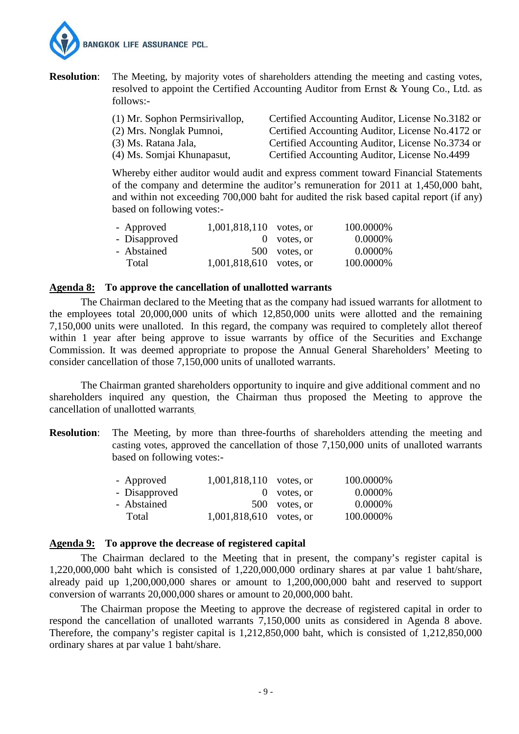

**Resolution:** The Meeting, by majority votes of shareholders attending the meeting and casting votes, resolved to appoint the Certified Accounting Auditor from Ernst & Young Co., Ltd. as follows:-

| (1) Mr. Sophon Permsirivallop, | Certified Accounting Auditor, License No.3182 or |
|--------------------------------|--------------------------------------------------|
| (2) Mrs. Nonglak Pumnoi,       | Certified Accounting Auditor, License No.4172 or |
| (3) Ms. Ratana Jala,           | Certified Accounting Auditor, License No.3734 or |
| (4) Ms. Somjai Khunapasut,     | Certified Accounting Auditor, License No.4499    |

Whereby either auditor would audit and express comment toward Financial Statements of the company and determine the auditor's remuneration for 2011 at 1,450,000 baht, and within not exceeding 700,000 baht for audited the risk based capital report (if any) based on following votes:-

| - Approved    | 1,001,818,110 votes, or |               | 100.0000% |
|---------------|-------------------------|---------------|-----------|
| - Disapproved |                         | $0$ votes, or | 0.0000%   |
| - Abstained   |                         | 500 votes, or | 0.0000%   |
| Total         | 1,001,818,610 votes, or |               | 100.0000% |

#### **Agenda 8: To approve the cancellation of unallotted warrants**

 The Chairman declared to the Meeting that as the company had issued warrants for allotment to the employees total 20,000,000 units of which 12,850,000 units were allotted and the remaining 7,150,000 units were unalloted. In this regard, the company was required to completely allot thereof within 1 year after being approve to issue warrants by office of the Securities and Exchange Commission. It was deemed appropriate to propose the Annual General Shareholders' Meeting to consider cancellation of those 7,150,000 units of unalloted warrants.

The Chairman granted shareholders opportunity to inquire and give additional comment and no shareholders inquired any question, the Chairman thus proposed the Meeting to approve the cancellation of unallotted warrants.

**Resolution**: The Meeting, by more than three-fourths of shareholders attending the meeting and casting votes, approved the cancellation of those 7,150,000 units of unalloted warrants based on following votes:-

| - Approved    | $1,001,818,110$ votes, or |               | 100.0000% |
|---------------|---------------------------|---------------|-----------|
| - Disapproved |                           | $0$ votes, or | 0.0000\%  |
| - Abstained   |                           | 500 votes, or | 0.0000\%  |
| Total         | $1,001,818,610$ votes, or |               | 100.0000% |

#### **Agenda 9: To approve the decrease of registered capital**

 The Chairman declared to the Meeting that in present, the company's register capital is 1,220,000,000 baht which is consisted of 1,220,000,000 ordinary shares at par value 1 baht/share, already paid up 1,200,000,000 shares or amount to 1,200,000,000 baht and reserved to support conversion of warrants 20,000,000 shares or amount to 20,000,000 baht.

The Chairman propose the Meeting to approve the decrease of registered capital in order to respond the cancellation of unalloted warrants 7,150,000 units as considered in Agenda 8 above. Therefore, the company's register capital is 1,212,850,000 baht, which is consisted of 1,212,850,000 ordinary shares at par value 1 baht/share.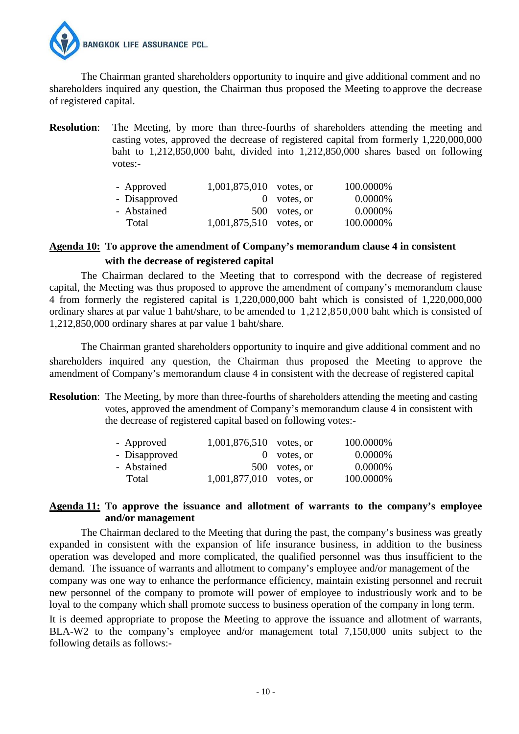

The Chairman granted shareholders opportunity to inquire and give additional comment and no shareholders inquired any question, the Chairman thus proposed the Meeting to approve the decrease of registered capital.

**Resolution:** The Meeting, by more than three-fourths of shareholders attending the meeting and casting votes, approved the decrease of registered capital from formerly 1,220,000,000 baht to 1,212,850,000 baht, divided into 1,212,850,000 shares based on following votes:-

| - Approved    | $1,001,875,010$ votes, or |               | 100.0000% |
|---------------|---------------------------|---------------|-----------|
| - Disapproved |                           | $0$ votes, or | 0.0000%   |
| - Abstained   |                           | 500 votes, or | 0.0000%   |
| Total         | $1,001,875,510$ votes, or |               | 100.0000% |

# **Agenda 10: To approve the amendment of Company's memorandum clause 4 in consistent with the decrease of registered capital**

 The Chairman declared to the Meeting that to correspond with the decrease of registered capital, the Meeting was thus proposed to approve the amendment of company's memorandum clause 4 from formerly the registered capital is 1,220,000,000 baht which is consisted of 1,220,000,000 ordinary shares at par value 1 baht/share, to be amended to 1,212,850,000 baht which is consisted of 1,212,850,000 ordinary shares at par value 1 baht/share.

The Chairman granted shareholders opportunity to inquire and give additional comment and no shareholders inquired any question, the Chairman thus proposed the Meeting to approve the amendment of Company's memorandum clause 4 in consistent with the decrease of registered capital

**Resolution:** The Meeting, by more than three-fourths of shareholders attending the meeting and casting votes, approved the amendment of Company's memorandum clause 4 in consistent with the decrease of registered capital based on following votes:-

|  | 100.0000%                                                                            |
|--|--------------------------------------------------------------------------------------|
|  | 0.0000%                                                                              |
|  | 0.0000\%                                                                             |
|  | 100.0000%                                                                            |
|  | 1,001,876,510 votes, or<br>$0$ votes, or<br>500 votes, or<br>1,001,877,010 votes, or |

## **Agenda 11: To approve the issuance and allotment of warrants to the company's employee and/or management**

 The Chairman declared to the Meeting that during the past, the company's business was greatly expanded in consistent with the expansion of life insurance business, in addition to the business operation was developed and more complicated, the qualified personnel was thus insufficient to the demand. The issuance of warrants and allotment to company's employee and/or management of the company was one way to enhance the performance efficiency, maintain existing personnel and recruit new personnel of the company to promote will power of employee to industriously work and to be loyal to the company which shall promote success to business operation of the company in long term.

It is deemed appropriate to propose the Meeting to approve the issuance and allotment of warrants, BLA-W2 to the company's employee and/or management total 7,150,000 units subject to the following details as follows:-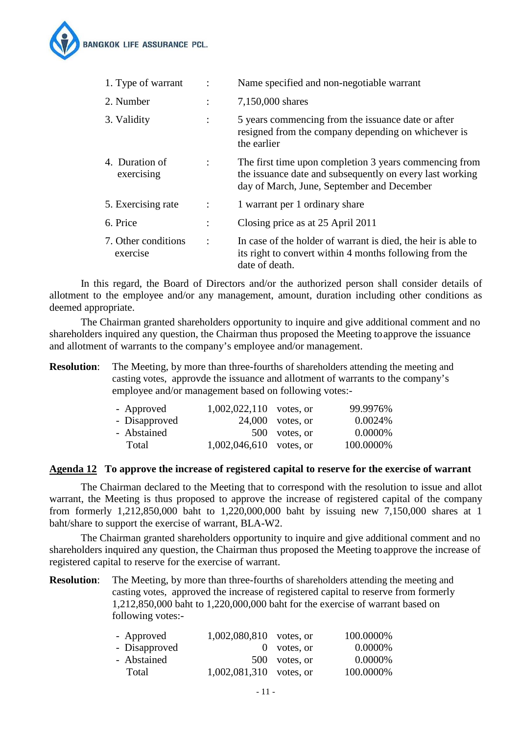

| 1. Type of warrant              |                | Name specified and non-negotiable warrant                                                                                                                        |
|---------------------------------|----------------|------------------------------------------------------------------------------------------------------------------------------------------------------------------|
| 2. Number                       | $\ddot{\cdot}$ | 7,150,000 shares                                                                                                                                                 |
| 3. Validity                     | $\ddot{\cdot}$ | 5 years commencing from the issuance date or after<br>resigned from the company depending on whichever is<br>the earlier                                         |
| 4. Duration of<br>exercising    | $\ddot{\cdot}$ | The first time upon completion 3 years commencing from<br>the issuance date and subsequently on every last working<br>day of March, June, September and December |
| 5. Exercising rate              | $\ddot{\cdot}$ | 1 warrant per 1 ordinary share                                                                                                                                   |
| 6. Price                        | $\ddot{\cdot}$ | Closing price as at 25 April 2011                                                                                                                                |
| 7. Other conditions<br>exercise | $\ddot{\cdot}$ | In case of the holder of warrant is died, the heir is able to<br>its right to convert within 4 months following from the<br>date of death.                       |

 In this regard, the Board of Directors and/or the authorized person shall consider details of allotment to the employee and/or any management, amount, duration including other conditions as deemed appropriate.

The Chairman granted shareholders opportunity to inquire and give additional comment and no shareholders inquired any question, the Chairman thus proposed the Meeting toapprove the issuance and allotment of warrants to the company's employee and/or management.

**Resolution:** The Meeting, by more than three-fourths of shareholders attending the meeting and casting votes, approvde the issuance and allotment of warrants to the company's employee and/or management based on following votes:-

|  | 99.9976%                                                                                      |
|--|-----------------------------------------------------------------------------------------------|
|  | 0.0024%                                                                                       |
|  | 0.0000%                                                                                       |
|  | 100.0000%                                                                                     |
|  | $1,002,022,110$ votes, or<br>$24,000$ votes, or<br>500 votes, or<br>$1,002,046,610$ votes, or |

#### **Agenda 12 To approve the increase of registered capital to reserve for the exercise of warrant**

 The Chairman declared to the Meeting that to correspond with the resolution to issue and allot warrant, the Meeting is thus proposed to approve the increase of registered capital of the company from formerly 1,212,850,000 baht to 1,220,000,000 baht by issuing new 7,150,000 shares at 1 baht/share to support the exercise of warrant, BLA-W2.

The Chairman granted shareholders opportunity to inquire and give additional comment and no shareholders inquired any question, the Chairman thus proposed the Meeting toapprove the increase of registered capital to reserve for the exercise of warrant.

**Resolution:** The Meeting, by more than three-fourths of shareholders attending the meeting and casting votes, approved the increase of registered capital to reserve from formerly 1,212,850,000 baht to 1,220,000,000 baht for the exercise of warrant based on following votes:-

| - Approved    | $1,002,080,810$ votes, or |               | 100.0000% |
|---------------|---------------------------|---------------|-----------|
| - Disapproved |                           | $0$ votes, or | 0.0000\%  |
| - Abstained   |                           | 500 votes, or | 0.0000\%  |
| Total         | $1,002,081,310$ votes, or |               | 100.0000% |
|               |                           |               |           |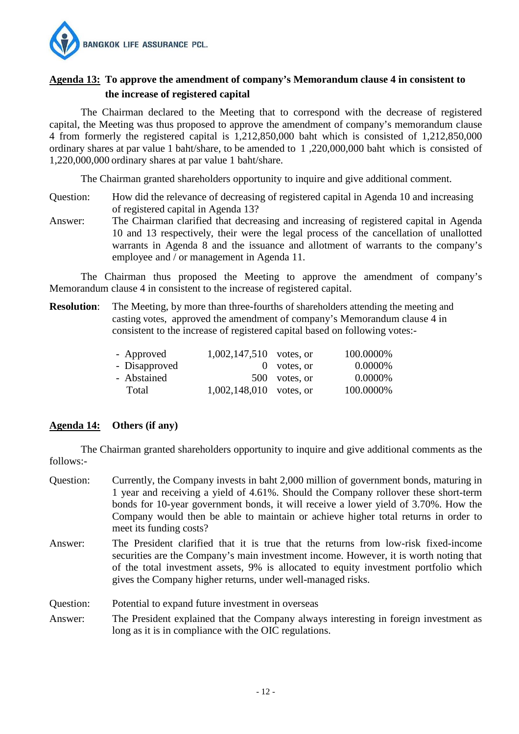

# **Agenda 13: To approve the amendment of company's Memorandum clause 4 in consistent to the increase of registered capital**

 The Chairman declared to the Meeting that to correspond with the decrease of registered capital, the Meeting was thus proposed to approve the amendment of company's memorandum clause 4 from formerly the registered capital is 1,212,850,000 baht which is consisted of 1,212,850,000 ordinary shares at par value 1 baht/share, to be amended to 1 ,220,000,000 baht which is consisted of 1,220,000,000 ordinary shares at par value 1 baht/share.

The Chairman granted shareholders opportunity to inquire and give additional comment.

- Question: How did the relevance of decreasing of registered capital in Agenda 10 and increasing of registered capital in Agenda 13?
- Answer: The Chairman clarified that decreasing and increasing of registered capital in Agenda 10 and 13 respectively, their were the legal process of the cancellation of unallotted warrants in Agenda 8 and the issuance and allotment of warrants to the company's employee and / or management in Agenda 11.

The Chairman thus proposed the Meeting to approve the amendment of company's Memorandum clause 4 in consistent to the increase of registered capital.

**Resolution:** The Meeting, by more than three-fourths of shareholders attending the meeting and casting votes, approved the amendment of company's Memorandum clause 4 in consistent to the increase of registered capital based on following votes:-

| - Approved    | $1,002,147,510$ votes, or |               | 100.0000% |
|---------------|---------------------------|---------------|-----------|
| - Disapproved |                           | $0$ votes, or | 0.0000%   |
| - Abstained   |                           | 500 votes, or | 0.0000%   |
| Total         | $1,002,148,010$ votes, or |               | 100.0000% |

# **Agenda 14: Others (if any)**

The Chairman granted shareholders opportunity to inquire and give additional comments as the follows:-

- Question: Currently, the Company invests in baht 2,000 million of government bonds, maturing in 1 year and receiving a yield of 4.61%. Should the Company rollover these short-term bonds for 10-year government bonds, it will receive a lower yield of 3.70%. How the Company would then be able to maintain or achieve higher total returns in order to meet its funding costs?
- Answer: The President clarified that it is true that the returns from low-risk fixed-income securities are the Company's main investment income. However, it is worth noting that of the total investment assets, 9% is allocated to equity investment portfolio which gives the Company higher returns, under well-managed risks.

Question: Potential to expand future investment in overseas

Answer: The President explained that the Company always interesting in foreign investment as long as it is in compliance with the OIC regulations.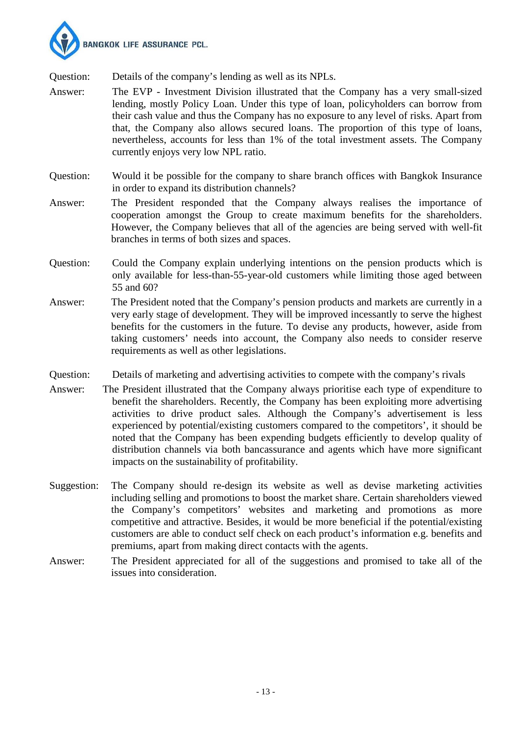

Question: Details of the company's lending as well as its NPLs.

- Answer: The EVP Investment Division illustrated that the Company has a very small-sized lending, mostly Policy Loan. Under this type of loan, policyholders can borrow from their cash value and thus the Company has no exposure to any level of risks. Apart from that, the Company also allows secured loans. The proportion of this type of loans, nevertheless, accounts for less than 1% of the total investment assets. The Company currently enjoys very low NPL ratio.
- Question: Would it be possible for the company to share branch offices with Bangkok Insurance in order to expand its distribution channels?
- Answer: The President responded that the Company always realises the importance of cooperation amongst the Group to create maximum benefits for the shareholders. However, the Company believes that all of the agencies are being served with well-fit branches in terms of both sizes and spaces.
- Question: Could the Company explain underlying intentions on the pension products which is only available for less-than-55-year-old customers while limiting those aged between 55 and 60?
- Answer: The President noted that the Company's pension products and markets are currently in a very early stage of development. They will be improved incessantly to serve the highest benefits for the customers in the future. To devise any products, however, aside from taking customers' needs into account, the Company also needs to consider reserve requirements as well as other legislations.
- Details of marketing and advertising activities to compete with the company's rivals Question:<br>Answer:
- The President illustrated that the Company always prioritise each type of expenditure to benefit the shareholders. Recently, the Company has been exploiting more advertising activities to drive product sales. Although the Company's advertisement is less experienced by potential/existing customers compared to the competitors', it should be noted that the Company has been expending budgets efficiently to develop quality of distribution channels via both bancassurance and agents which have more significant impacts on the sustainability of profitability.
- Suggestion: The Company should re-design its website as well as devise marketing activities including selling and promotions to boost the market share. Certain shareholders viewed the Company's competitors' websites and marketing and promotions as more competitive and attractive. Besides, it would be more beneficial if the potential/existing customers are able to conduct self check on each product's information e.g. benefits and premiums, apart from making direct contacts with the agents.
- Answer: The President appreciated for all of the suggestions and promised to take all of the issues into consideration.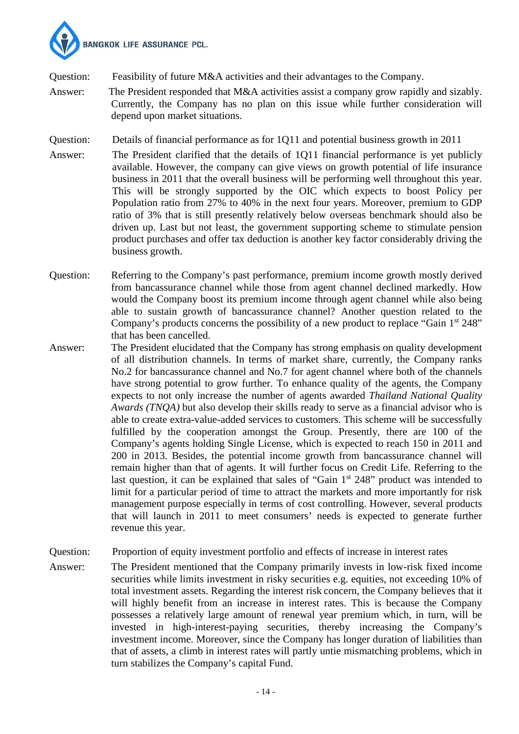

Question: Feasibility of future M&A activities and their advantages to the Company.

Answer: The President responded that M&A activities assist a company grow rapidly and sizably. Currently, the Company has no plan on this issue while further consideration will depend upon market situations.

Question: Details of financial performance as for 1Q11 and potential business growth in 2011

- Answer: The President clarified that the details of 1Q11 financial performance is yet publicly available. However, the company can give views on growth potential of life insurance business in 2011 that the overall business will be performing well throughout this year. This will be strongly supported by the OIC which expects to boost Policy per Population ratio from 27% to 40% in the next four years. Moreover, premium to GDP ratio of 3% that is still presently relatively below overseas benchmark should also be driven up. Last but not least, the government supporting scheme to stimulate pension product purchases and offer tax deduction is another key factor considerably driving the business growth.
- Question: Referring to the Company's past performance, premium income growth mostly derived from bancassurance channel while those from agent channel declined markedly. How would the Company boost its premium income through agent channel while also being able to sustain growth of bancassurance channel? Another question related to the Company's products concerns the possibility of a new product to replace "Gain 1<sup>st</sup> 248" that has been cancelled.
- Answer: The President elucidated that the Company has strong emphasis on quality development of all distribution channels. In terms of market share, currently, the Company ranks No.2 for bancassurance channel and No.7 for agent channel where both of the channels have strong potential to grow further. To enhance quality of the agents, the Company expects to not only increase the number of agents awarded *Thailand National Quality Awards (TNQA)* but also develop their skills ready to serve as a financial advisor who is able to create extra-value-added services to customers. This scheme will be successfully fulfilled by the cooperation amongst the Group. Presently, there are 100 of the Company's agents holding Single License, which is expected to reach 150 in 2011 and 200 in 2013. Besides, the potential income growth from bancassurance channel will remain higher than that of agents. It will further focus on Credit Life. Referring to the last question, it can be explained that sales of "Gain  $1<sup>st</sup> 248$ " product was intended to limit for a particular period of time to attract the markets and more importantly for risk management purpose especially in terms of cost controlling. However, several products that will launch in 2011 to meet consumers' needs is expected to generate further revenue this year.
- Question: Proportion of equity investment portfolio and effects of increase in interest rates
- Answer: The President mentioned that the Company primarily invests in low-risk fixed income securities while limits investment in risky securities e.g. equities, not exceeding 10% of total investment assets. Regarding the interest risk concern, the Company believes that it will highly benefit from an increase in interest rates. This is because the Company possesses a relatively large amount of renewal year premium which, in turn, will be invested in high-interest-paying securities, thereby increasing the Company's investment income. Moreover, since the Company has longer duration of liabilities than that of assets, a climb in interest rates will partly untie mismatching problems, which in turn stabilizes the Company's capital Fund.